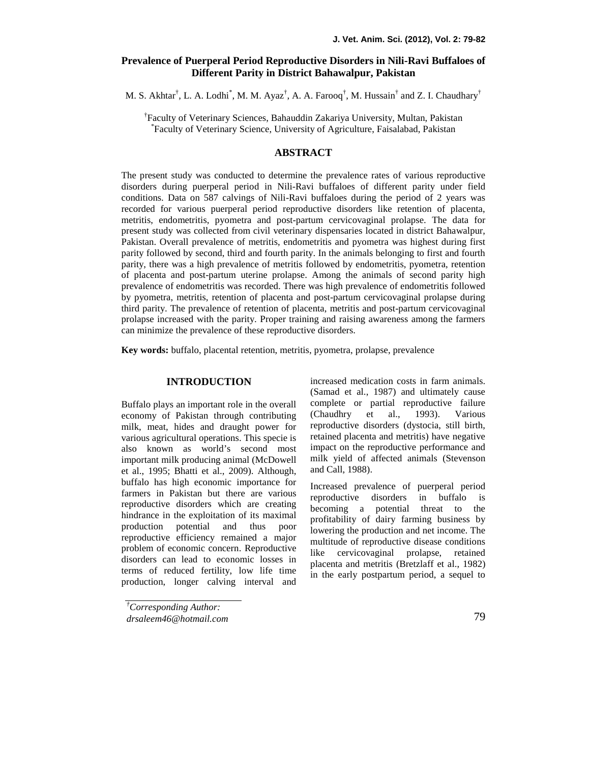# **Prevalence of Puerperal Period Reproductive Disorders in Nili-Ravi Buffaloes of Different Parity in District Bahawalpur, Pakistan**

M. S. Akhtar $^{\dagger}$ , L. A. Lodhi $^{\dagger}$ , M. M. Ayaz $^{\dagger}$ , A. A. Farooq $^{\dagger}$ , M. Hussain $^{\dagger}$  and Z. I. Chaudhary $^{\dagger}$ 

†Faculty of Veterinary Sciences, Bahauddin Zakariya University, Multan, Pakistan \*Faculty of Veterinary Science, University of Agriculture, Faisalabad, Pakistan

## **ABSTRACT**

The present study was conducted to determine the prevalence rates of various reproductive disorders during puerperal period in Nili-Ravi buffaloes of different parity under field conditions. Data on 587 calvings of Nili-Ravi buffaloes during the period of 2 years was recorded for various puerperal period reproductive disorders like retention of placenta, metritis, endometritis, pyometra and post-partum cervicovaginal prolapse. The data for present study was collected from civil veterinary dispensaries located in district Bahawalpur, Pakistan. Overall prevalence of metritis, endometritis and pyometra was highest during first parity followed by second, third and fourth parity. In the animals belonging to first and fourth parity, there was a high prevalence of metritis followed by endometritis, pyometra, retention of placenta and post-partum uterine prolapse. Among the animals of second parity high prevalence of endometritis was recorded. There was high prevalence of endometritis followed by pyometra, metritis, retention of placenta and post-partum cervicovaginal prolapse during third parity. The prevalence of retention of placenta, metritis and post-partum cervicovaginal prolapse increased with the parity. Proper training and raising awareness among the farmers can minimize the prevalence of these reproductive disorders.

**Key words:** buffalo, placental retention, metritis, pyometra, prolapse, prevalence

### **INTRODUCTION**

Buffalo plays an important role in the overall economy of Pakistan through contributing milk, meat, hides and draught power for various agricultural operations. This specie is also known as world's second most important milk producing animal (McDowell et al., 1995; Bhatti et al., 2009). Although, buffalo has high economic importance for farmers in Pakistan but there are various reproductive disorders which are creating hindrance in the exploitation of its maximal production potential and thus poor reproductive efficiency remained a major problem of economic concern. Reproductive disorders can lead to economic losses in terms of reduced fertility, low life time production, longer calving interval and

increased medication costs in farm animals. (Samad et al., 1987) and ultimately cause complete or partial reproductive failure (Chaudhry et al., 1993). Various reproductive disorders (dystocia, still birth, retained placenta and metritis) have negative impact on the reproductive performance and milk yield of affected animals (Stevenson and Call, 1988).

Increased prevalence of puerperal period reproductive disorders in buffalo is becoming a potential threat to the profitability of dairy farming business by lowering the production and net income. The multitude of reproductive disease conditions like cervicovaginal prolapse, retained placenta and metritis (Bretzlaff et al., 1982) in the early postpartum period, a sequel to

*<sup>†</sup>Corresponding Author: drsaleem46@hotmail.com*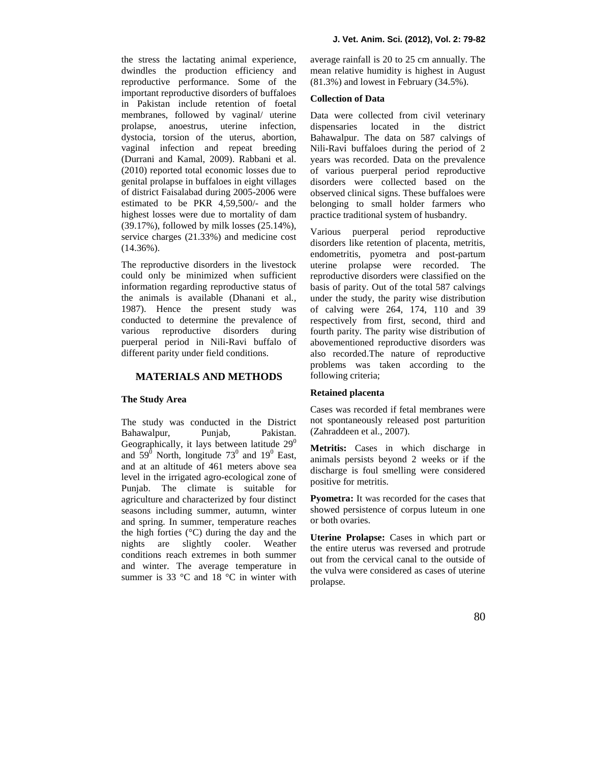the stress the lactating animal experience, dwindles the production efficiency and reproductive performance. Some of the important reproductive disorders of buffaloes in Pakistan include retention of foetal membranes, followed by vaginal/ uterine prolapse, anoestrus, uterine infection, dystocia, torsion of the uterus, abortion, vaginal infection and repeat breeding (Durrani and Kamal, 2009). Rabbani et al. (2010) reported total economic losses due to genital prolapse in buffaloes in eight villages of district Faisalabad during 2005-2006 were estimated to be PKR 4,59,500/- and the highest losses were due to mortality of dam (39.17%), followed by milk losses (25.14%), service charges (21.33%) and medicine cost (14.36%).

The reproductive disorders in the livestock could only be minimized when sufficient information regarding reproductive status of the animals is available (Dhanani et al*.,* 1987). Hence the present study was conducted to determine the prevalence of various reproductive disorders during puerperal period in Nili-Ravi buffalo of different parity under field conditions.

### **MATERIALS AND METHODS**

#### **The Study Area**

The study was conducted in the District Bahawalpur, Punjab, Pakistan. Geographically, it lays between latitude  $29^0$ and  $59^{\circ}$  North, longitude  $73^{\circ}$  and  $19^{\circ}$  East, and at an altitude of 461 meters above sea level in the irrigated agro-ecological zone of Punjab. The climate is suitable for agriculture and characterized by four distinct seasons including summer, autumn, winter and spring. In summer, temperature reaches the high forties  $(^{\circ}C)$  during the day and the nights are slightly cooler. Weather conditions reach extremes in both summer and winter. The average temperature in summer is 33 °C and 18 °C in winter with average rainfall is 20 to 25 cm annually. The mean relative humidity is highest in August (81.3%) and lowest in February (34.5%).

#### **Collection of Data**

Data were collected from civil veterinary located in the district Bahawalpur. The data on 587 calvings of Nili-Ravi buffaloes during the period of 2 years was recorded. Data on the prevalence of various puerperal period reproductive disorders were collected based on the observed clinical signs. These buffaloes were belonging to small holder farmers who practice traditional system of husbandry.

Various puerperal period reproductive disorders like retention of placenta, metritis, endometritis, pyometra and post-partum uterine prolapse were recorded. The reproductive disorders were classified on the basis of parity. Out of the total 587 calvings under the study, the parity wise distribution of calving were 264, 174, 110 and 39 respectively from first, second, third and fourth parity. The parity wise distribution of abovementioned reproductive disorders was also recorded.The nature of reproductive problems was taken according to the following criteria;

#### **Retained placenta**

Cases was recorded if fetal membranes were not spontaneously released post parturition (Zahraddeen et al., 2007).

**Metritis:** Cases in which discharge in animals persists beyond 2 weeks or if the discharge is foul smelling were considered positive for metritis.

**Pyometra:** It was recorded for the cases that showed persistence of corpus luteum in one or both ovaries.

**Uterine Prolapse:** Cases in which part or the entire uterus was reversed and protrude out from the cervical canal to the outside of the vulva were considered as cases of uterine prolapse.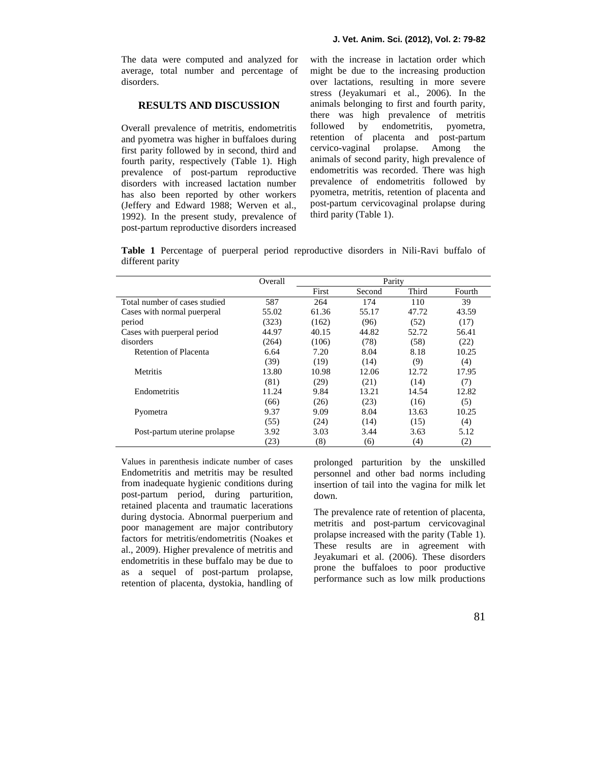The data were computed and analyzed for average, total number and percentage of disorders.

## **RESULTS AND DISCUSSION**

Overall prevalence of metritis, endometritis and pyometra was higher in buffaloes during first parity followed by in second, third and fourth parity, respectively (Table 1). High prevalence of post-partum reproductive disorders with increased lactation number has also been reported by other workers (Jeffery and Edward 1988; Werven et al., 1992). In the present study, prevalence of post-partum reproductive disorders increased with the increase in lactation order which might be due to the increasing production over lactations, resulting in more severe stress (Jeyakumari et al., 2006). In the animals belonging to first and fourth parity, there was high prevalence of metritis followed by endometritis, pyometra, retention of placenta and post-partum cervico-vaginal prolapse. Among the animals of second parity, high prevalence of endometritis was recorded. There was high prevalence of endometritis followed by pyometra, metritis, retention of placenta and post-partum cervicovaginal prolapse during third parity (Table 1).

**Table 1** Percentage of puerperal period reproductive disorders in Nili-Ravi buffalo of different parity

|                               | Overall | Parity |        |                   |        |
|-------------------------------|---------|--------|--------|-------------------|--------|
|                               |         | First  | Second | Third             | Fourth |
| Total number of cases studied | 587     | 264    | 174    | 110               | 39     |
| Cases with normal puerperal   | 55.02   | 61.36  | 55.17  | 47.72             | 43.59  |
| period                        | (323)   | (162)  | (96)   | (52)              | (17)   |
| Cases with puerperal period   | 44.97   | 40.15  | 44.82  | 52.72             | 56.41  |
| disorders                     | (264)   | (106)  | (78)   | (58)              | (22)   |
| Retention of Placenta         | 6.64    | 7.20   | 8.04   | 8.18              | 10.25  |
|                               | (39)    | (19)   | (14)   | (9)               | (4)    |
| <b>Metritis</b>               | 13.80   | 10.98  | 12.06  | 12.72             | 17.95  |
|                               | (81)    | (29)   | (21)   | (14)              | (7)    |
| Endometritis                  | 11.24   | 9.84   | 13.21  | 14.54             | 12.82  |
|                               | (66)    | (26)   | (23)   | (16)              | (5)    |
| Pyometra                      | 9.37    | 9.09   | 8.04   | 13.63             | 10.25  |
|                               | (55)    | (24)   | (14)   | (15)              | (4)    |
| Post-partum uterine prolapse  | 3.92    | 3.03   | 3.44   | 3.63              | 5.12   |
|                               | (23)    | (8)    | (6)    | $\left( 4\right)$ | (2)    |

Values in parenthesis indicate number of cases Endometritis and metritis may be resulted from inadequate hygienic conditions during post-partum period, during parturition, retained placenta and traumatic lacerations during dystocia. Abnormal puerperium and poor management are major contributory factors for metritis/endometritis (Noakes et al., 2009). Higher prevalence of metritis and endometritis in these buffalo may be due to as a sequel of post-partum prolapse, retention of placenta, dystokia, handling of prolonged parturition by the unskilled personnel and other bad norms including insertion of tail into the vagina for milk let down.

The prevalence rate of retention of placenta, metritis and post-partum cervicovaginal prolapse increased with the parity (Table 1). These results are in agreement with Jeyakumari et al. (2006). These disorders prone the buffaloes to poor productive performance such as low milk productions